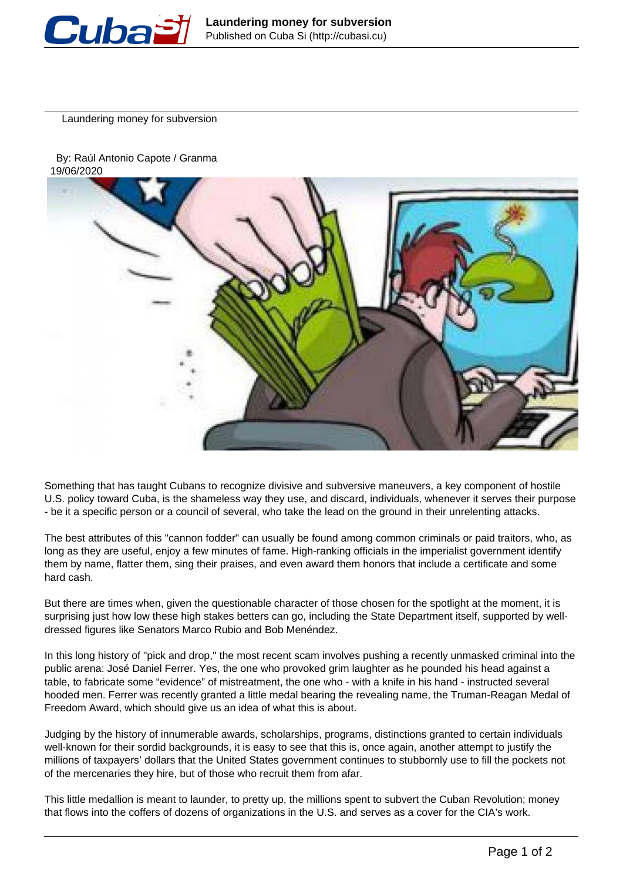

Laundering money for subversion





Something that has taught Cubans to recognize divisive and subversive maneuvers, a key component of hostile U.S. policy toward Cuba, is the shameless way they use, and discard, individuals, whenever it serves their purpose - be it a specific person or a council of several, who take the lead on the ground in their unrelenting attacks.

The best attributes of this "cannon fodder" can usually be found among common criminals or paid traitors, who, as long as they are useful, enjoy a few minutes of fame. High-ranking officials in the imperialist government identify them by name, flatter them, sing their praises, and even award them honors that include a certificate and some hard cash.

But there are times when, given the questionable character of those chosen for the spotlight at the moment, it is surprising just how low these high stakes betters can go, including the State Department itself, supported by welldressed figures like Senators Marco Rubio and Bob Menéndez.

In this long history of "pick and drop," the most recent scam involves pushing a recently unmasked criminal into the public arena: José Daniel Ferrer. Yes, the one who provoked grim laughter as he pounded his head against a table, to fabricate some "evidence" of mistreatment, the one who - with a knife in his hand - instructed several hooded men. Ferrer was recently granted a little medal bearing the revealing name, the Truman-Reagan Medal of Freedom Award, which should give us an idea of what this is about.

Judging by the history of innumerable awards, scholarships, programs, distinctions granted to certain individuals well-known for their sordid backgrounds, it is easy to see that this is, once again, another attempt to justify the millions of taxpayers' dollars that the United States government continues to stubbornly use to fill the pockets not of the mercenaries they hire, but of those who recruit them from afar.

This little medallion is meant to launder, to pretty up, the millions spent to subvert the Cuban Revolution; money that flows into the coffers of dozens of organizations in the U.S. and serves as a cover for the CIA's work.